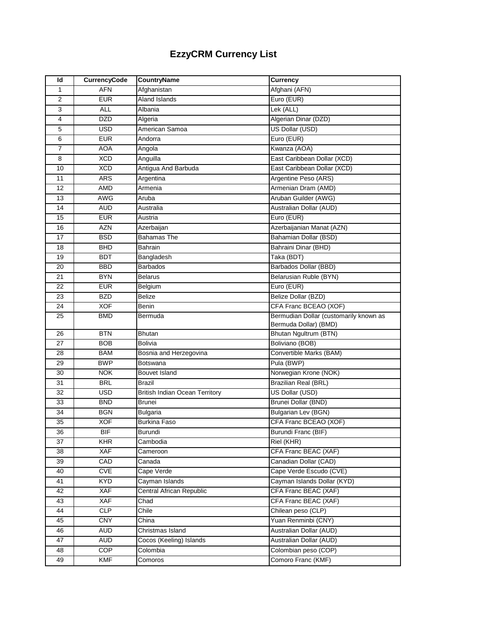## **EzzyCRM Currency List**

| Id              | <b>CurrencyCode</b> | CountryName                    | <b>Currency</b>                                                 |
|-----------------|---------------------|--------------------------------|-----------------------------------------------------------------|
| 1               | <b>AFN</b>          | Afghanistan                    | Afghani (AFN)                                                   |
| $\sqrt{2}$      | <b>EUR</b>          | <b>Aland Islands</b>           | Euro (EUR)                                                      |
| 3               | <b>ALL</b>          | Albania                        | Lek (ALL)                                                       |
| 4               | <b>DZD</b>          | Algeria                        | Algerian Dinar (DZD)                                            |
| 5               | <b>USD</b>          | American Samoa                 | US Dollar (USD)                                                 |
| 6               | <b>EUR</b>          | Andorra                        | Euro (EUR)                                                      |
| 7               | AOA                 | Angola                         | Kwanza (AOA)                                                    |
| 8               | <b>XCD</b>          | Anguilla                       | East Caribbean Dollar (XCD)                                     |
| 10              | <b>XCD</b>          | Antigua And Barbuda            | East Caribbean Dollar (XCD)                                     |
| 11              | <b>ARS</b>          | Argentina                      | Argentine Peso (ARS)                                            |
| 12              | AMD                 | Armenia                        | Armenian Dram (AMD)                                             |
| 13              | AWG                 | Aruba                          | Aruban Guilder (AWG)                                            |
| 14              | AUD                 | Australia                      | Australian Dollar (AUD)                                         |
| 15              | <b>EUR</b>          | Austria                        | Euro (EUR)                                                      |
| 16              | AZN                 | Azerbaijan                     | Azerbaijanian Manat (AZN)                                       |
| 17              | BSD                 | Bahamas The                    | Bahamian Dollar (BSD)                                           |
| 18              | BHD                 | Bahrain                        | Bahraini Dinar (BHD)                                            |
| 19              | BDT                 | Bangladesh                     | Taka (BDT)                                                      |
| 20              | <b>BBD</b>          | Barbados                       | Barbados Dollar (BBD)                                           |
| 21              | BYN                 | Belarus                        | Belarusian Ruble (BYN)                                          |
| 22              | <b>EUR</b>          | Belgium                        | Euro (EUR)                                                      |
| 23              | <b>BZD</b>          | Belize                         | Belize Dollar (BZD)                                             |
| 24              | <b>XOF</b>          | Benin                          | CFA Franc BCEAO (XOF)                                           |
| 25              | BMD                 | Bermuda                        | Bermudian Dollar (customarily known as<br>Bermuda Dollar) (BMD) |
| 26              | <b>BTN</b>          | Bhutan                         | Bhutan Ngultrum (BTN)                                           |
| 27              | <b>BOB</b>          | Bolivia                        | Boliviano (BOB)                                                 |
| 28              | BAM                 | Bosnia and Herzegovina         | Convertible Marks (BAM)                                         |
| 29              | <b>BWP</b>          | Botswana                       | Pula (BWP)                                                      |
| 30              | <b>NOK</b>          | <b>Bouvet Island</b>           | Norwegian Krone (NOK)                                           |
| 31              | <b>BRL</b>          | Brazil                         | Brazilian Real (BRL)                                            |
| 32              | <b>USD</b>          | British Indian Ocean Territory | US Dollar (USD)                                                 |
| 33              | BND                 | Brunei                         | Brunei Dollar (BND)                                             |
| 34              | <b>BGN</b>          | Bulgaria                       | <b>Bulgarian Lev (BGN)</b>                                      |
| 35              | <b>XOF</b>          | Burkina Faso                   | CFA Franc BCEAO (XOF)                                           |
| $\overline{36}$ | <b>BIF</b>          | Burundi                        | Burundi Franc (BIF)                                             |
| 37              | KHR                 | Cambodia                       | Riel (KHR)                                                      |
| 38              | XAF                 | Cameroon                       | CFA Franc BEAC (XAF)                                            |
| 39              | CAD                 | Canada                         | Canadian Dollar (CAD)                                           |
| 40              | <b>CVE</b>          | Cape Verde                     | Cape Verde Escudo (CVE)                                         |
| 41              | <b>KYD</b>          | Cayman Islands                 | Cayman Islands Dollar (KYD)                                     |
| 42              | XAF                 | Central African Republic       | CFA Franc BEAC (XAF)                                            |
| 43              | XAF                 | Chad                           | CFA Franc BEAC (XAF)                                            |
| 44              | <b>CLP</b>          | Chile                          | Chilean peso (CLP)                                              |
| 45              | <b>CNY</b>          | China                          | Yuan Renminbi (CNY)                                             |
| 46              | <b>AUD</b>          | Christmas Island               | Australian Dollar (AUD)                                         |
| 47              | AUD                 | Cocos (Keeling) Islands        | Australian Dollar (AUD)                                         |
| 48              | <b>COP</b>          | Colombia                       | Colombian peso (COP)                                            |
| 49              | <b>KMF</b>          | Comoros                        | Comoro Franc (KMF)                                              |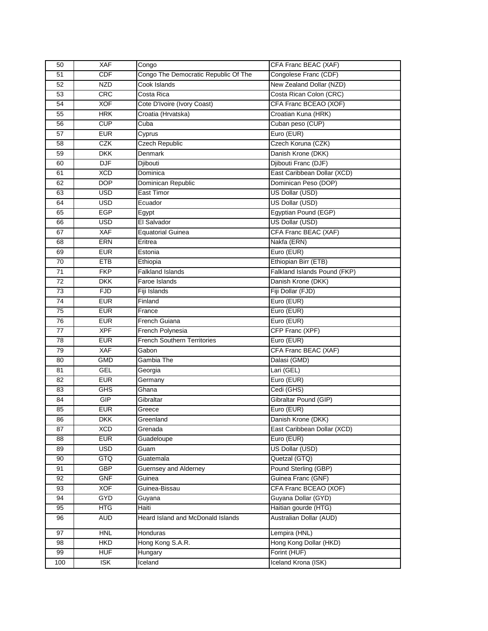| 50  | <b>XAF</b> | Congo                                | CFA Franc BEAC (XAF)         |
|-----|------------|--------------------------------------|------------------------------|
| 51  | <b>CDF</b> | Congo The Democratic Republic Of The | Congolese Franc (CDF)        |
| 52  | <b>NZD</b> | Cook Islands                         | New Zealand Dollar (NZD)     |
| 53  | CRC        | Costa Rica                           | Costa Rican Colon (CRC)      |
| 54  | <b>XOF</b> | Cote D'Ivoire (Ivory Coast)          | CFA Franc BCEAO (XOF)        |
| 55  | <b>HRK</b> | Croatia (Hrvatska)                   | Croatian Kuna (HRK)          |
| 56  | <b>CUP</b> | Cuba                                 | Cuban peso (CUP)             |
| 57  | <b>EUR</b> | Cyprus                               | Euro (EUR)                   |
| 58  | CZK        | Czech Republic                       | Czech Koruna (CZK)           |
| 59  | <b>DKK</b> | Denmark                              | Danish Krone (DKK)           |
| 60  | <b>DJF</b> | Djibouti                             | Djibouti Franc (DJF)         |
| 61  | <b>XCD</b> | Dominica                             | East Caribbean Dollar (XCD)  |
| 62  | <b>DOP</b> | Dominican Republic                   | Dominican Peso (DOP)         |
| 63  | <b>USD</b> | East Timor                           | US Dollar (USD)              |
| 64  | <b>USD</b> | Ecuador                              | US Dollar (USD)              |
| 65  | <b>EGP</b> |                                      | Egyptian Pound (EGP)         |
| 66  | <b>USD</b> | Egypt<br>El Salvador                 | US Dollar (USD)              |
|     | <b>XAF</b> |                                      | CFA Franc BEAC (XAF)         |
| 67  |            | <b>Equatorial Guinea</b>             |                              |
| 68  | <b>ERN</b> | Eritrea                              | Nakfa (ERN)                  |
| 69  | <b>EUR</b> | Estonia                              | Euro (EUR)                   |
| 70  | <b>ETB</b> | Ethiopia                             | Ethiopian Birr (ETB)         |
| 71  | <b>FKP</b> | <b>Falkland Islands</b>              | Falkland Islands Pound (FKP) |
| 72  | <b>DKK</b> | Faroe Islands                        | Danish Krone (DKK)           |
| 73  | <b>FJD</b> | Fiji Islands                         | Fiji Dollar (FJD)            |
| 74  | <b>EUR</b> | Finland                              | Euro (EUR)                   |
| 75  | <b>EUR</b> | France                               | Euro (EUR)                   |
| 76  | <b>EUR</b> | French Guiana                        | Euro (EUR)                   |
| 77  | <b>XPF</b> | French Polynesia                     | CFP Franc (XPF)              |
| 78  | <b>EUR</b> | <b>French Southern Territories</b>   | Euro (EUR)                   |
| 79  | <b>XAF</b> | Gabon                                | CFA Franc BEAC (XAF)         |
| 80  | <b>GMD</b> | Gambia The                           | Dalasi (GMD)                 |
| 81  | <b>GEL</b> | Georgia                              | Lari (GEL)                   |
| 82  | <b>EUR</b> | Germany                              | Euro (EUR)                   |
| 83  | <b>GHS</b> | Ghana                                | Cedi (GHS)                   |
| 84  | <b>GIP</b> | Gibraltar                            | Gibraltar Pound (GIP)        |
| 85  | <b>EUR</b> | Greece                               | Euro (EUR)                   |
| 86  | DKK.       | Greenland                            | Danish Krone (DKK)           |
| 87  | <b>XCD</b> | Grenada                              | East Caribbean Dollar (XCD)  |
| 88  | <b>EUR</b> | Guadeloupe                           | Euro (EUR)                   |
| 89  | <b>USD</b> | Guam                                 | US Dollar (USD)              |
| 90  | <b>GTQ</b> | Guatemala                            | Quetzal (GTQ)                |
| 91  | GBP        | Guernsey and Alderney                | Pound Sterling (GBP)         |
| 92  | <b>GNF</b> | Guinea                               | Guinea Franc (GNF)           |
| 93  | <b>XOF</b> | Guinea-Bissau                        | CFA Franc BCEAO (XOF)        |
| 94  | GYD        | Guyana                               | Guyana Dollar (GYD)          |
| 95  | <b>HTG</b> | Haiti                                | Haitian gourde (HTG)         |
| 96  | <b>AUD</b> | Heard Island and McDonald Islands    | Australian Dollar (AUD)      |
| 97  | <b>HNL</b> | Honduras                             | Lempira (HNL)                |
| 98  | <b>HKD</b> | Hong Kong S.A.R.                     | Hong Kong Dollar (HKD)       |
| 99  | <b>HUF</b> | Hungary                              | Forint (HUF)                 |
| 100 | <b>ISK</b> | Iceland                              | Iceland Krona (ISK)          |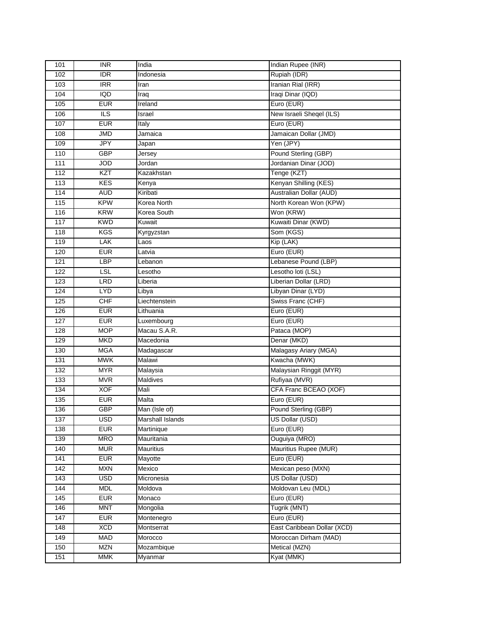| 101 | <b>INR</b> | India            | Indian Rupee (INR)          |
|-----|------------|------------------|-----------------------------|
| 102 | <b>IDR</b> | Indonesia        | Rupiah (IDR)                |
| 103 | <b>IRR</b> | Iran             | Iranian Rial (IRR)          |
| 104 | <b>IQD</b> | Iraq             | Iraqi Dinar (IQD)           |
| 105 | <b>EUR</b> | Ireland          | Euro (EUR)                  |
| 106 | ILS        | Israel           | New Israeli Sheqel (ILS)    |
| 107 | <b>EUR</b> | Italy            | Euro (EUR)                  |
| 108 | <b>JMD</b> | Jamaica          | Jamaican Dollar (JMD)       |
| 109 | <b>JPY</b> | Japan            | Yen (JPY)                   |
| 110 | <b>GBP</b> | Jersey           | Pound Sterling (GBP)        |
| 111 | JOD        | Jordan           | Jordanian Dinar (JOD)       |
| 112 | <b>KZT</b> | Kazakhstan       | Tenge (KZT)                 |
| 113 | <b>KES</b> | Kenya            | Kenyan Shilling (KES)       |
| 114 | <b>AUD</b> | Kiribati         | Australian Dollar (AUD)     |
| 115 | <b>KPW</b> | Korea North      | North Korean Won (KPW)      |
| 116 | <b>KRW</b> | Korea South      | Won (KRW)                   |
| 117 | <b>KWD</b> | Kuwait           | Kuwaiti Dinar (KWD)         |
| 118 | <b>KGS</b> | Kyrgyzstan       | Som (KGS)                   |
| 119 | <b>LAK</b> | Laos             | Kip (LAK)                   |
| 120 | <b>EUR</b> | Latvia           | Euro (EUR)                  |
| 121 | <b>LBP</b> | Lebanon          | Lebanese Pound (LBP)        |
| 122 | LSL        | Lesotho          | Lesotho loti (LSL)          |
| 123 | <b>LRD</b> | Liberia          | Liberian Dollar (LRD)       |
| 124 | <b>LYD</b> | Libya            | Libyan Dinar (LYD)          |
| 125 | <b>CHF</b> | Liechtenstein    | Swiss Franc (CHF)           |
| 126 | <b>EUR</b> | Lithuania        | Euro (EUR)                  |
| 127 | <b>EUR</b> | Luxembourg       | Euro (EUR)                  |
| 128 | <b>MOP</b> | Macau S.A.R.     | Pataca (MOP)                |
| 129 | <b>MKD</b> | Macedonia        | Denar (MKD)                 |
| 130 | <b>MGA</b> | Madagascar       | Malagasy Ariary (MGA)       |
| 131 | <b>MWK</b> | Malawi           | Kwacha (MWK)                |
| 132 | <b>MYR</b> | Malaysia         | Malaysian Ringgit (MYR)     |
| 133 | <b>MVR</b> | Maldives         | Rufiyaa (MVR)               |
| 134 | <b>XOF</b> | Mali             | CFA Franc BCEAO (XOF)       |
| 135 | <b>EUR</b> | Malta            | Euro (EUR)                  |
| 136 | <b>GBP</b> | Man (Isle of)    | Pound Sterling (GBP)        |
| 137 | <b>USD</b> | Marshall Islands | US Dollar (USD)             |
| 138 | <b>EUR</b> | Martinique       | Euro (EUR)                  |
| 139 | <b>MRO</b> | Mauritania       | Ouguiya (MRO)               |
| 140 | <b>MUR</b> | <b>Mauritius</b> | Mauritius Rupee (MUR)       |
| 141 | <b>EUR</b> | Mayotte          | Euro (EUR)                  |
| 142 | <b>MXN</b> | Mexico           | Mexican peso (MXN)          |
| 143 | <b>USD</b> | Micronesia       | US Dollar (USD)             |
| 144 | <b>MDL</b> | Moldova          | Moldovan Leu (MDL)          |
| 145 | <b>EUR</b> | Monaco           | Euro (EUR)                  |
| 146 | <b>MNT</b> | Mongolia         | Tugrik (MNT)                |
| 147 | <b>EUR</b> | Montenegro       | Euro (EUR)                  |
| 148 | <b>XCD</b> | Montserrat       | East Caribbean Dollar (XCD) |
| 149 | MAD        | Morocco          | Moroccan Dirham (MAD)       |
| 150 | <b>MZN</b> | Mozambique       | Metical (MZN)               |
| 151 | <b>MMK</b> | Myanmar          | Kyat (MMK)                  |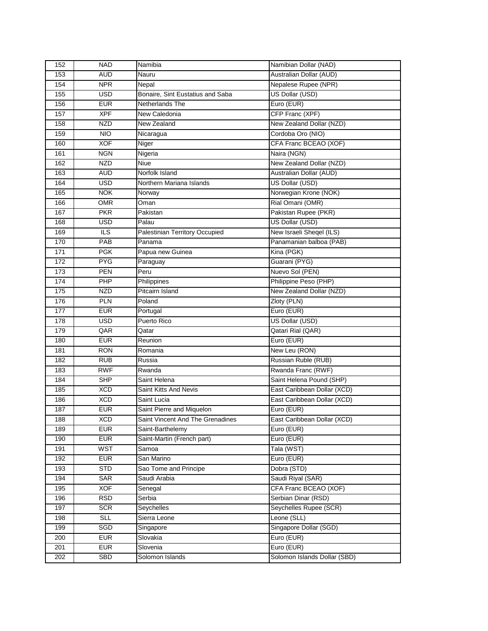| 152 | <b>NAD</b> | Namibia                                             | Namibian Dollar (NAD)                        |
|-----|------------|-----------------------------------------------------|----------------------------------------------|
| 153 | <b>AUD</b> | Nauru                                               | Australian Dollar (AUD)                      |
| 154 | <b>NPR</b> | Nepal                                               | Nepalese Rupee (NPR)                         |
| 155 | <b>USD</b> |                                                     | US Dollar (USD)                              |
| 156 | <b>EUR</b> | Bonaire, Sint Eustatius and Saba<br>Netherlands The | Euro (EUR)                                   |
|     |            |                                                     |                                              |
| 157 | <b>XPF</b> | New Caledonia                                       | CFP Franc (XPF)                              |
| 158 | <b>NZD</b> | New Zealand                                         | New Zealand Dollar (NZD)                     |
| 159 | <b>NIO</b> | Nicaragua                                           | Cordoba Oro (NIO)                            |
| 160 | <b>XOF</b> | Niger                                               | CFA Franc BCEAO (XOF)                        |
| 161 | NGN        | Nigeria                                             | Naira (NGN)                                  |
| 162 | <b>NZD</b> | Niue                                                | New Zealand Dollar (NZD)                     |
| 163 | <b>AUD</b> | Norfolk Island                                      | Australian Dollar (AUD)                      |
| 164 | <b>USD</b> | Northern Mariana Islands                            | US Dollar (USD)                              |
| 165 | <b>NOK</b> | Norway                                              | Norwegian Krone (NOK)                        |
| 166 | <b>OMR</b> | Oman                                                | Rial Omani (OMR)                             |
| 167 | <b>PKR</b> | Pakistan                                            | Pakistan Rupee (PKR)                         |
| 168 | <b>USD</b> | Palau                                               | US Dollar (USD)                              |
| 169 | <b>ILS</b> | Palestinian Territory Occupied                      | New Israeli Sheqel (ILS)                     |
| 170 | PAB        | Panama                                              | Panamanian balboa (PAB)                      |
| 171 | <b>PGK</b> | Papua new Guinea                                    | Kina (PGK)                                   |
| 172 | <b>PYG</b> | Paraguay                                            | Guarani (PYG)                                |
| 173 | <b>PEN</b> | Peru                                                | Nuevo Sol (PEN)                              |
| 174 | <b>PHP</b> | Philippines                                         | Philippine Peso (PHP)                        |
| 175 | <b>NZD</b> | Pitcairn Island                                     | New Zealand Dollar (NZD)                     |
| 176 | <b>PLN</b> | Poland                                              | Zloty (PLN)                                  |
| 177 | <b>EUR</b> | Portugal                                            | Euro (EUR)                                   |
| 178 | <b>USD</b> | Puerto Rico                                         | US Dollar (USD)                              |
| 179 | QAR        | Qatar                                               | Qatari Rial (QAR)                            |
| 180 | <b>EUR</b> | Reunion                                             | Euro (EUR)                                   |
| 181 | <b>RON</b> | Romania                                             | New Leu (RON)                                |
| 182 | <b>RUB</b> | Russia                                              | Russian Ruble (RUB)                          |
| 183 | <b>RWF</b> | Rwanda                                              | Rwanda Franc (RWF)                           |
| 184 | SHP        | Saint Helena                                        | Saint Helena Pound (SHP)                     |
| 185 | <b>XCD</b> | Saint Kitts And Nevis                               | East Caribbean Dollar (XCD)                  |
| 186 | <b>XCD</b> | Saint Lucia                                         | East Caribbean Dollar (XCD)                  |
| 187 | <b>EUR</b> | Saint Pierre and Miquelon                           | Euro (EUR)                                   |
| 188 | <b>XCD</b> | Saint Vincent And The Grenadines                    | East Caribbean Dollar (XCD)                  |
| 189 | <b>EUR</b> | Saint-Barthelemy                                    | Euro (EUR)                                   |
| 190 | <b>EUR</b> | Saint-Martin (French part)                          | Euro (EUR)                                   |
| 191 | WST        | Samoa                                               | Tala (WST)                                   |
| 192 | <b>EUR</b> | San Marino                                          | Euro (EUR)                                   |
| 193 | <b>STD</b> | Sao Tome and Principe                               | Dobra (STD)                                  |
| 194 | SAR        | Saudi Arabia                                        | Saudi Riyal (SAR)                            |
| 195 |            |                                                     |                                              |
|     | <b>XOF</b> | Senegal                                             | CFA Franc BCEAO (XOF)<br>Serbian Dinar (RSD) |
| 196 | <b>RSD</b> | Serbia                                              |                                              |
| 197 | <b>SCR</b> | Seychelles                                          | Seychelles Rupee (SCR)                       |
| 198 | SLL        | Sierra Leone                                        | Leone (SLL)                                  |
| 199 | SGD        | Singapore                                           | Singapore Dollar (SGD)                       |
| 200 | <b>EUR</b> | Slovakia                                            | Euro (EUR)                                   |
| 201 | <b>EUR</b> | Slovenia                                            | Euro (EUR)                                   |
| 202 | SBD        | Solomon Islands                                     | Solomon Islands Dollar (SBD)                 |